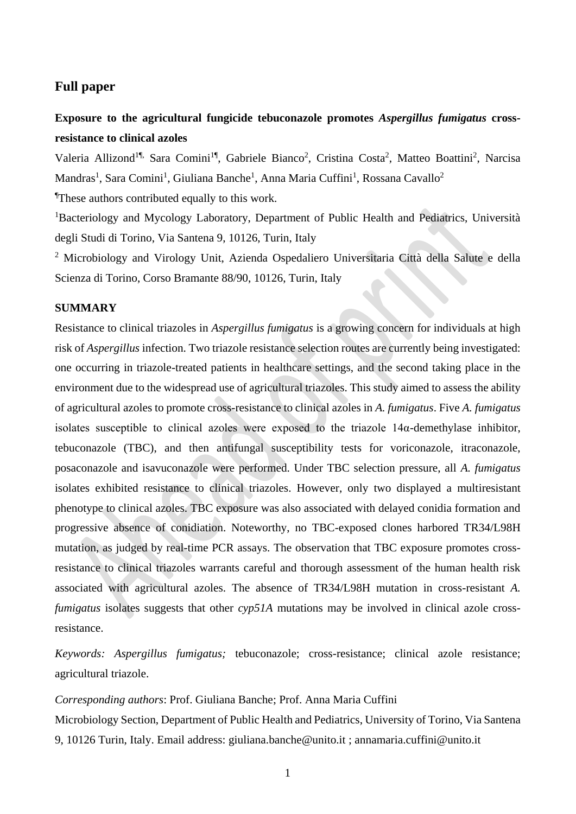# **Full paper**

# **Exposure to the agricultural fungicide tebuconazole promotes** *Aspergillus fumigatus* **crossresistance to clinical azoles**

Valeria Allizond<sup>1¶,</sup> Sara Comini<sup>1¶</sup>, Gabriele Bianco<sup>2</sup>, Cristina Costa<sup>2</sup>, Matteo Boattini<sup>2</sup>, Narcisa Mandras<sup>1</sup>, Sara Comini<sup>1</sup>, Giuliana Banche<sup>1</sup>, Anna Maria Cuffini<sup>1</sup>, Rossana Cavallo<sup>2</sup> ¶These authors contributed equally to this work.

<sup>1</sup>Bacteriology and Mycology Laboratory, Department of Public Health and Pediatrics, Università degli Studi di Torino, Via Santena 9, 10126, Turin, Italy

<sup>2</sup> Microbiology and Virology Unit, Azienda Ospedaliero Universitaria Città della Salute e della Scienza di Torino, Corso Bramante 88/90, 10126, Turin, Italy

## **SUMMARY**

Resistance to clinical triazoles in *Aspergillus fumigatus* is a growing concern for individuals at high risk of *Aspergillus* infection. Two triazole resistance selection routes are currently being investigated: one occurring in triazole-treated patients in healthcare settings, and the second taking place in the environment due to the widespread use of agricultural triazoles. This study aimed to assess the ability of agricultural azoles to promote cross-resistance to clinical azoles in *A. fumigatus*. Five *A. fumigatus* isolates susceptible to clinical azoles were exposed to the triazole 14α-demethylase inhibitor, tebuconazole (TBC), and then antifungal susceptibility tests for voriconazole, itraconazole, posaconazole and isavuconazole were performed. Under TBC selection pressure, all *A. fumigatus* isolates exhibited resistance to clinical triazoles. However, only two displayed a multiresistant phenotype to clinical azoles. TBC exposure was also associated with delayed conidia formation and progressive absence of conidiation. Noteworthy, no TBC-exposed clones harbored TR34/L98H mutation, as judged by real-time PCR assays. The observation that TBC exposure promotes crossresistance to clinical triazoles warrants careful and thorough assessment of the human health risk associated with agricultural azoles. The absence of TR34/L98H mutation in cross-resistant *A. fumigatus* isolates suggests that other *cyp51A* mutations may be involved in clinical azole crossresistance.

*Keywords: Aspergillus fumigatus;* tebuconazole; cross-resistance; clinical azole resistance; agricultural triazole.

### *Corresponding authors*: Prof. Giuliana Banche; Prof. Anna Maria Cuffini

Microbiology Section, Department of Public Health and Pediatrics, University of Torino, Via Santena 9, 10126 Turin, Italy. Email address: giuliana.banche@unito.it ; annamaria.cuffini@unito.it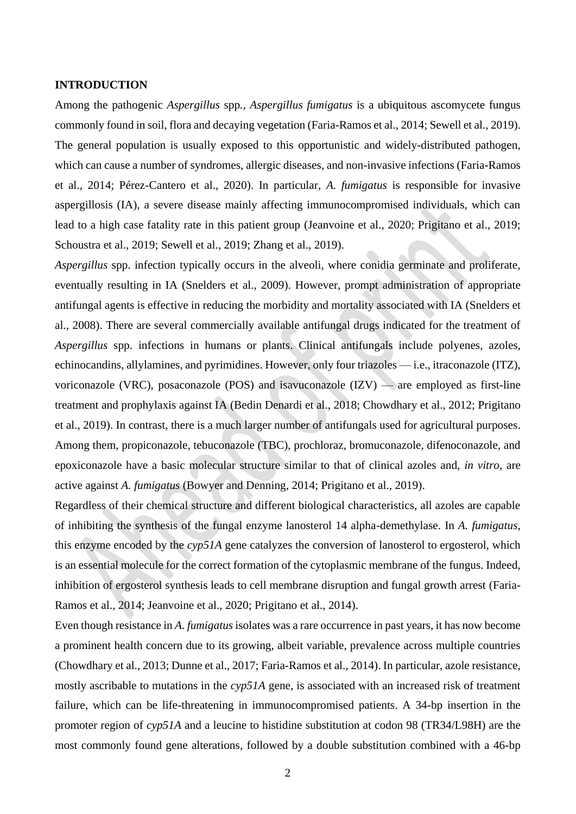# **INTRODUCTION**

Among the pathogenic *Aspergillus* spp*., Aspergillus fumigatus* is a ubiquitous ascomycete fungus commonly found in soil, flora and decaying vegetation (Faria-Ramos et al., 2014; Sewell et al., 2019). The general population is usually exposed to this opportunistic and widely-distributed pathogen, which can cause a number of syndromes, allergic diseases, and non-invasive infections (Faria-Ramos et al., 2014; Pérez-Cantero et al., 2020). In particular, *A. fumigatus* is responsible for invasive aspergillosis (IA), a severe disease mainly affecting immunocompromised individuals, which can lead to a high case fatality rate in this patient group (Jeanvoine et al., 2020; Prigitano et al., 2019; Schoustra et al., 2019; Sewell et al., 2019; Zhang et al., 2019).

*Aspergillus* spp. infection typically occurs in the alveoli, where conidia germinate and proliferate, eventually resulting in IA (Snelders et al., 2009). However, prompt administration of appropriate antifungal agents is effective in reducing the morbidity and mortality associated with IA (Snelders et al., 2008). There are several commercially available antifungal drugs indicated for the treatment of *Aspergillus* spp. infections in humans or plants. Clinical antifungals include polyenes, azoles, echinocandins, allylamines, and pyrimidines. However, only four triazoles — i.e., itraconazole (ITZ), voriconazole (VRC), posaconazole (POS) and isavuconazole  $(IZV)$  — are employed as first-line treatment and prophylaxis against IA (Bedin Denardi et al., 2018; Chowdhary et al., 2012; Prigitano et al., 2019). In contrast, there is a much larger number of antifungals used for agricultural purposes. Among them, propiconazole, tebuconazole (TBC), prochloraz, bromuconazole, difenoconazole, and epoxiconazole have a basic molecular structure similar to that of clinical azoles and, *in vitro,* are active against *A. fumigatus* (Bowyer and Denning, 2014; Prigitano et al., 2019).

Regardless of their chemical structure and different biological characteristics, all azoles are capable of inhibiting the synthesis of the fungal enzyme lanosterol 14 alpha-demethylase. In *A. fumigatus*, this enzyme encoded by the *cyp51A* gene catalyzes the conversion of lanosterol to ergosterol, which is an essential molecule for the correct formation of the cytoplasmic membrane of the fungus. Indeed, inhibition of ergosterol synthesis leads to cell membrane disruption and fungal growth arrest (Faria-Ramos et al., 2014; Jeanvoine et al., 2020; Prigitano et al., 2014).

Even though resistance in *A. fumigatus* isolates was a rare occurrence in past years, it has now become a prominent health concern due to its growing, albeit variable, prevalence across multiple countries (Chowdhary et al., 2013; Dunne et al., 2017; Faria-Ramos et al., 2014). In particular, azole resistance, mostly ascribable to mutations in the *cyp51A* gene, is associated with an increased risk of treatment failure, which can be life-threatening in immunocompromised patients. A 34-bp insertion in the promoter region of *cyp51A* and a leucine to histidine substitution at codon 98 (TR34/L98H) are the most commonly found gene alterations, followed by a double substitution combined with a 46-bp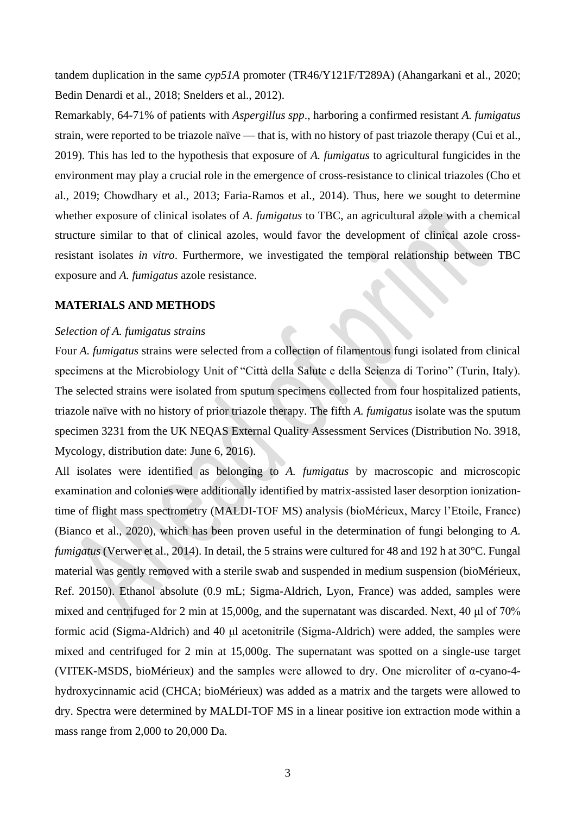tandem duplication in the same *cyp51A* promoter (TR46/Y121F/T289A) (Ahangarkani et al., 2020; Bedin Denardi et al., 2018; Snelders et al., 2012).

Remarkably, 64-71% of patients with *Aspergillus spp*., harboring a confirmed resistant *A. fumigatus* strain, were reported to be triazole naïve — that is, with no history of past triazole therapy (Cui et al., 2019). This has led to the hypothesis that exposure of *A. fumigatus* to agricultural fungicides in the environment may play a crucial role in the emergence of cross-resistance to clinical triazoles (Cho et al., 2019; Chowdhary et al., 2013; Faria-Ramos et al., 2014). Thus, here we sought to determine whether exposure of clinical isolates of *A. fumigatus* to TBC, an agricultural azole with a chemical structure similar to that of clinical azoles, would favor the development of clinical azole crossresistant isolates *in vitro*. Furthermore, we investigated the temporal relationship between TBC exposure and *A. fumigatus* azole resistance.

# **MATERIALS AND METHODS**

#### *Selection of A. fumigatus strains*

Four *A. fumigatus* strains were selected from a collection of filamentous fungi isolated from clinical specimens at the Microbiology Unit of "Città della Salute e della Scienza di Torino" (Turin, Italy). The selected strains were isolated from sputum specimens collected from four hospitalized patients, triazole naïve with no history of prior triazole therapy. The fifth *A. fumigatus* isolate was the sputum specimen 3231 from the UK NEQAS External Quality Assessment Services (Distribution No. 3918, Mycology, distribution date: June 6, 2016).

All isolates were identified as belonging to *A. fumigatus* by macroscopic and microscopic examination and colonies were additionally identified by matrix-assisted laser desorption ionizationtime of flight mass spectrometry (MALDI-TOF MS) analysis (bioMérieux, Marcy l'Etoile, France) (Bianco et al., 2020), which has been proven useful in the determination of fungi belonging to *A. fumigatus* (Verwer et al., 2014). In detail, the 5 strains were cultured for 48 and 192 h at 30°C. Fungal material was gently removed with a sterile swab and suspended in medium suspension (bioMérieux, Ref. 20150). Ethanol absolute (0.9 mL; Sigma-Aldrich, Lyon, France) was added, samples were mixed and centrifuged for 2 min at 15,000g, and the supernatant was discarded. Next, 40 μl of 70% formic acid (Sigma-Aldrich) and 40 μl acetonitrile (Sigma-Aldrich) were added, the samples were mixed and centrifuged for 2 min at 15,000g. The supernatant was spotted on a single-use target (VITEK-MSDS, bioMérieux) and the samples were allowed to dry. One microliter of α-cyano-4 hydroxycinnamic acid (CHCA; bioMérieux) was added as a matrix and the targets were allowed to dry. Spectra were determined by MALDI-TOF MS in a linear positive ion extraction mode within a mass range from 2,000 to 20,000 Da.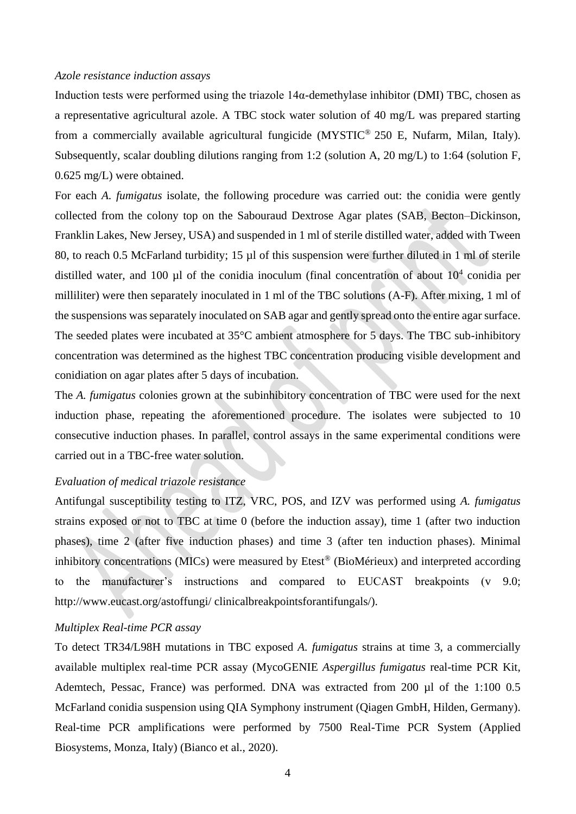#### *Azole resistance induction assays*

Induction tests were performed using the triazole 14α-demethylase inhibitor (DMI) TBC, chosen as a representative agricultural azole. A TBC stock water solution of 40 mg/L was prepared starting from a commercially available agricultural fungicide (MYSTIC® 250 E, Nufarm, Milan, Italy). Subsequently, scalar doubling dilutions ranging from 1:2 (solution A, 20 mg/L) to 1:64 (solution F, 0.625 mg/L) were obtained.

For each *A. fumigatus* isolate, the following procedure was carried out: the conidia were gently collected from the colony top on the Sabouraud Dextrose Agar plates (SAB, Becton–Dickinson, Franklin Lakes, New Jersey, USA) and suspended in 1 ml of sterile distilled water, added with Tween 80, to reach 0.5 McFarland turbidity; 15 µl of this suspension were further diluted in 1 ml of sterile distilled water, and 100  $\mu$ l of the conidia inoculum (final concentration of about  $10^4$  conidia per milliliter) were then separately inoculated in 1 ml of the TBC solutions (A-F). After mixing, 1 ml of the suspensions was separately inoculated on SAB agar and gently spread onto the entire agar surface. The seeded plates were incubated at 35°C ambient atmosphere for 5 days. The TBC sub-inhibitory concentration was determined as the highest TBC concentration producing visible development and conidiation on agar plates after 5 days of incubation.

The *A. fumigatus* colonies grown at the subinhibitory concentration of TBC were used for the next induction phase, repeating the aforementioned procedure. The isolates were subjected to 10 consecutive induction phases. In parallel, control assays in the same experimental conditions were carried out in a TBC-free water solution.

# *Evaluation of medical triazole resistance*

Antifungal susceptibility testing to ITZ, VRC, POS, and IZV was performed using *A. fumigatus* strains exposed or not to TBC at time 0 (before the induction assay), time 1 (after two induction phases), time 2 (after five induction phases) and time 3 (after ten induction phases). Minimal inhibitory concentrations (MICs) were measured by Etest® (BioMérieux) and interpreted according to the manufacturer's instructions and compared to EUCAST breakpoints (v 9.0; http://www.eucast.org/astoffungi/ clinicalbreakpointsforantifungals/).

# *Multiplex Real-time PCR assay*

To detect TR34/L98H mutations in TBC exposed *A. fumigatus* strains at time 3, a commercially available multiplex real-time PCR assay (MycoGENIE *Aspergillus fumigatus* real-time PCR Kit, Ademtech, Pessac, France) was performed. DNA was extracted from 200 µl of the 1:100 0.5 McFarland conidia suspension using QIA Symphony instrument (Qiagen GmbH, Hilden, Germany). Real-time PCR amplifications were performed by 7500 Real-Time PCR System (Applied Biosystems, Monza, Italy) (Bianco et al., 2020).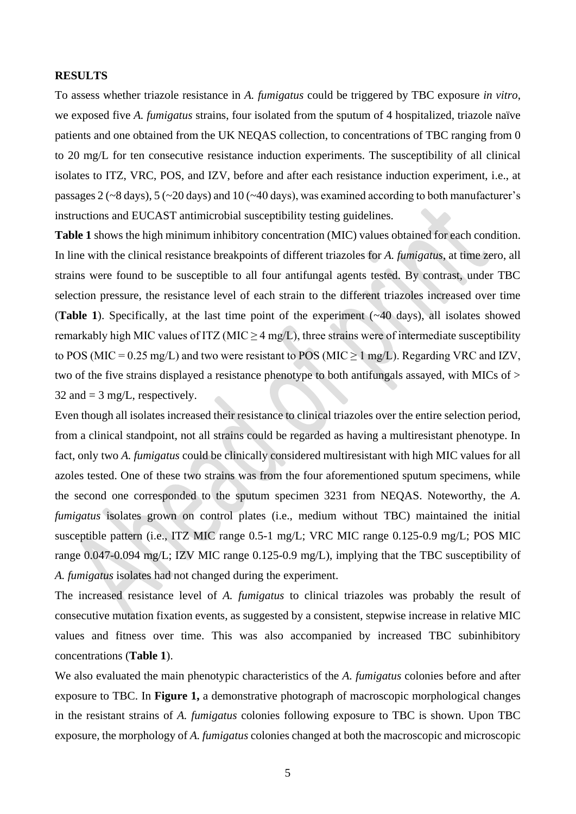# **RESULTS**

To assess whether triazole resistance in *A. fumigatus* could be triggered by TBC exposure *in vitro*, we exposed five *A. fumigatus* strains, four isolated from the sputum of 4 hospitalized, triazole naïve patients and one obtained from the UK NEQAS collection, to concentrations of TBC ranging from 0 to 20 mg/L for ten consecutive resistance induction experiments. The susceptibility of all clinical isolates to ITZ, VRC, POS, and IZV, before and after each resistance induction experiment, i.e., at passages 2 (~8 days), 5 (~20 days) and 10 (~40 days), was examined according to both manufacturer's instructions and EUCAST antimicrobial susceptibility testing guidelines.

**Table 1** shows the high minimum inhibitory concentration (MIC) values obtained for each condition. In line with the clinical resistance breakpoints of different triazoles for *A. fumigatus*, at time zero, all strains were found to be susceptible to all four antifungal agents tested. By contrast, under TBC selection pressure, the resistance level of each strain to the different triazoles increased over time (**Table 1**). Specifically, at the last time point of the experiment (~40 days), all isolates showed remarkably high MIC values of ITZ (MIC  $\geq$  4 mg/L), three strains were of intermediate susceptibility to POS (MIC = 0.25 mg/L) and two were resistant to POS (MIC  $\geq 1$  mg/L). Regarding VRC and IZV, two of the five strains displayed a resistance phenotype to both antifungals assayed, with MICs of > 32 and  $=$  3 mg/L, respectively.

Even though all isolates increased their resistance to clinical triazoles over the entire selection period, from a clinical standpoint, not all strains could be regarded as having a multiresistant phenotype. In fact, only two *A. fumigatus* could be clinically considered multiresistant with high MIC values for all azoles tested. One of these two strains was from the four aforementioned sputum specimens, while the second one corresponded to the sputum specimen 3231 from NEQAS. Noteworthy, the *A. fumigatus* isolates grown on control plates (i.e., medium without TBC) maintained the initial susceptible pattern (i.e., ITZ MIC range 0.5-1 mg/L; VRC MIC range 0.125-0.9 mg/L; POS MIC range 0.047-0.094 mg/L; IZV MIC range 0.125-0.9 mg/L), implying that the TBC susceptibility of *A. fumigatus* isolates had not changed during the experiment.

The increased resistance level of *A. fumigatus* to clinical triazoles was probably the result of consecutive mutation fixation events, as suggested by a consistent, stepwise increase in relative MIC values and fitness over time. This was also accompanied by increased TBC subinhibitory concentrations (**Table 1**).

We also evaluated the main phenotypic characteristics of the *A. fumigatus* colonies before and after exposure to TBC. In **Figure 1,** a demonstrative photograph of macroscopic morphological changes in the resistant strains of *A. fumigatus* colonies following exposure to TBC is shown. Upon TBC exposure, the morphology of *A. fumigatus* colonies changed at both the macroscopic and microscopic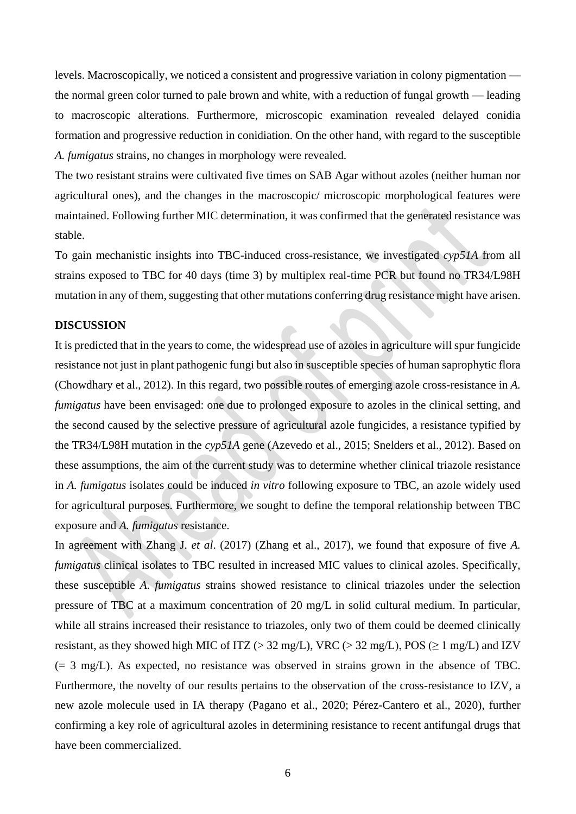levels. Macroscopically, we noticed a consistent and progressive variation in colony pigmentation the normal green color turned to pale brown and white, with a reduction of fungal growth — leading to macroscopic alterations. Furthermore, microscopic examination revealed delayed conidia formation and progressive reduction in conidiation. On the other hand, with regard to the susceptible *A. fumigatus* strains, no changes in morphology were revealed.

The two resistant strains were cultivated five times on SAB Agar without azoles (neither human nor agricultural ones), and the changes in the macroscopic/ microscopic morphological features were maintained. Following further MIC determination, it was confirmed that the generated resistance was stable.

To gain mechanistic insights into TBC-induced cross-resistance, we investigated *cyp51A* from all strains exposed to TBC for 40 days (time 3) by multiplex real-time PCR but found no TR34/L98H mutation in any of them, suggesting that other mutations conferring drug resistance might have arisen.

# **DISCUSSION**

It is predicted that in the years to come, the widespread use of azoles in agriculture will spur fungicide resistance not just in plant pathogenic fungi but also in susceptible species of human saprophytic flora (Chowdhary et al., 2012). In this regard, two possible routes of emerging azole cross-resistance in *A. fumigatus* have been envisaged: one due to prolonged exposure to azoles in the clinical setting, and the second caused by the selective pressure of agricultural azole fungicides, a resistance typified by the TR34/L98H mutation in the *cyp51A* gene (Azevedo et al., 2015; Snelders et al., 2012). Based on these assumptions, the aim of the current study was to determine whether clinical triazole resistance in *A. fumigatus* isolates could be induced *in vitro* following exposure to TBC, an azole widely used for agricultural purposes. Furthermore, we sought to define the temporal relationship between TBC exposure and *A. fumigatus* resistance.

In agreement with Zhang J. *et al*. (2017) (Zhang et al., 2017), we found that exposure of five *A. fumigatus* clinical isolates to TBC resulted in increased MIC values to clinical azoles. Specifically, these susceptible *A. fumigatus* strains showed resistance to clinical triazoles under the selection pressure of TBC at a maximum concentration of 20 mg/L in solid cultural medium. In particular, while all strains increased their resistance to triazoles, only two of them could be deemed clinically resistant, as they showed high MIC of ITZ ( $>$  32 mg/L), VRC ( $>$  32 mg/L), POS ( $\geq$  1 mg/L) and IZV (= 3 mg/L). As expected, no resistance was observed in strains grown in the absence of TBC. Furthermore, the novelty of our results pertains to the observation of the cross-resistance to IZV, a new azole molecule used in IA therapy (Pagano et al., 2020; Pérez-Cantero et al., 2020), further confirming a key role of agricultural azoles in determining resistance to recent antifungal drugs that have been commercialized.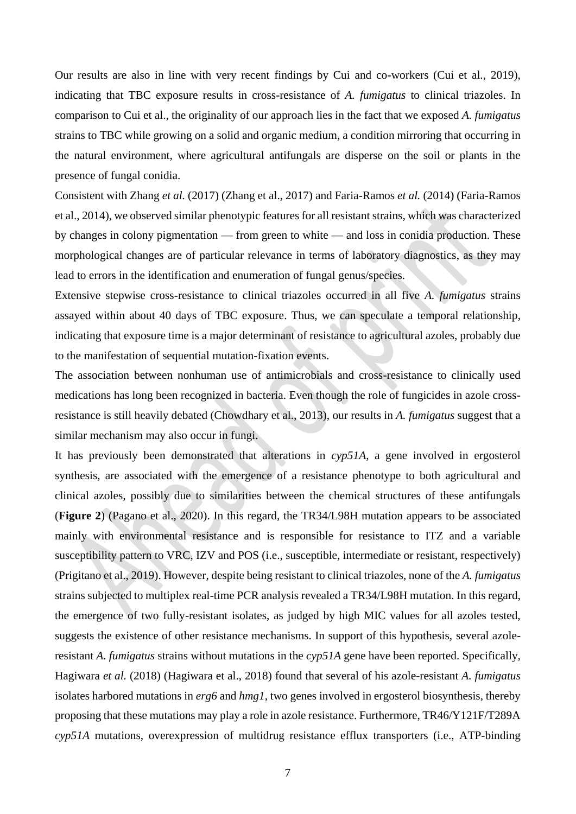Our results are also in line with very recent findings by Cui and co-workers (Cui et al., 2019), indicating that TBC exposure results in cross-resistance of *A. fumigatus* to clinical triazoles. In comparison to Cui et al., the originality of our approach lies in the fact that we exposed *A. fumigatus* strains to TBC while growing on a solid and organic medium, a condition mirroring that occurring in the natural environment, where agricultural antifungals are disperse on the soil or plants in the presence of fungal conidia.

Consistent with Zhang *et al.* (2017) (Zhang et al., 2017) and Faria-Ramos *et al.* (2014) (Faria-Ramos et al., 2014), we observed similar phenotypic features for all resistant strains, which was characterized by changes in colony pigmentation — from green to white — and loss in conidia production. These morphological changes are of particular relevance in terms of laboratory diagnostics, as they may lead to errors in the identification and enumeration of fungal genus/species.

Extensive stepwise cross-resistance to clinical triazoles occurred in all five *A. fumigatus* strains assayed within about 40 days of TBC exposure. Thus, we can speculate a temporal relationship, indicating that exposure time is a major determinant of resistance to agricultural azoles, probably due to the manifestation of sequential mutation-fixation events.

The association between nonhuman use of antimicrobials and cross-resistance to clinically used medications has long been recognized in bacteria. Even though the role of fungicides in azole crossresistance is still heavily debated (Chowdhary et al., 2013), our results in *A. fumigatus* suggest that a similar mechanism may also occur in fungi.

It has previously been demonstrated that alterations in *cyp51A*, a gene involved in ergosterol synthesis, are associated with the emergence of a resistance phenotype to both agricultural and clinical azoles, possibly due to similarities between the chemical structures of these antifungals (**Figure 2**) (Pagano et al., 2020). In this regard, the TR34/L98H mutation appears to be associated mainly with environmental resistance and is responsible for resistance to ITZ and a variable susceptibility pattern to VRC, IZV and POS (i.e., susceptible, intermediate or resistant, respectively) (Prigitano et al., 2019). However, despite being resistant to clinical triazoles, none of the *A. fumigatus* strains subjected to multiplex real-time PCR analysis revealed a TR34/L98H mutation. In this regard, the emergence of two fully-resistant isolates, as judged by high MIC values for all azoles tested, suggests the existence of other resistance mechanisms. In support of this hypothesis, several azoleresistant *A. fumigatus* strains without mutations in the *cyp51A* gene have been reported. Specifically, Hagiwara *et al.* (2018) (Hagiwara et al., 2018) found that several of his azole-resistant *A. fumigatus* isolates harbored mutations in *erg6* and *hmg1*, two genes involved in ergosterol biosynthesis, thereby proposing that these mutations may play a role in azole resistance. Furthermore, TR46/Y121F/T289A *cyp51A* mutations, overexpression of multidrug resistance efflux transporters (i.e., ATP-binding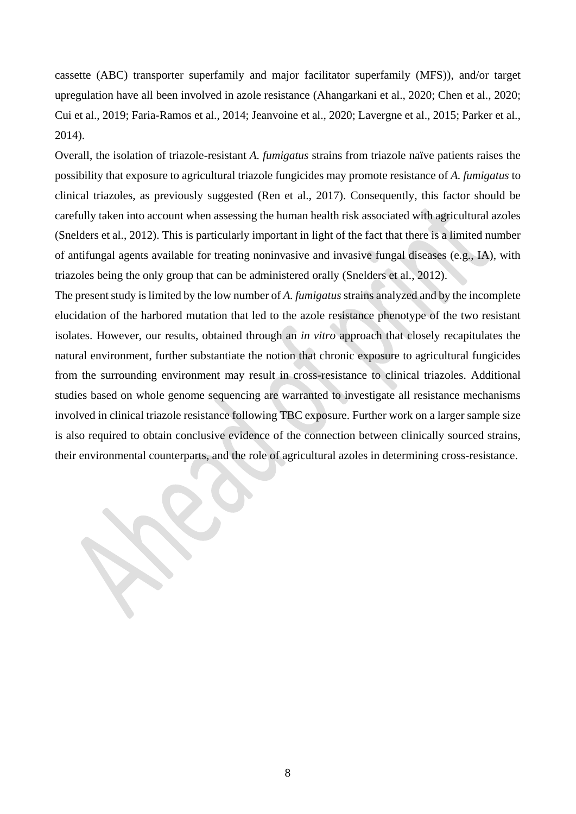cassette (ABC) transporter superfamily and major facilitator superfamily (MFS)), and/or target upregulation have all been involved in azole resistance (Ahangarkani et al., 2020; Chen et al., 2020; Cui et al., 2019; Faria-Ramos et al., 2014; Jeanvoine et al., 2020; Lavergne et al., 2015; Parker et al., 2014).

Overall, the isolation of triazole-resistant *A. fumigatus* strains from triazole naïve patients raises the possibility that exposure to agricultural triazole fungicides may promote resistance of *A. fumigatus* to clinical triazoles, as previously suggested (Ren et al., 2017). Consequently, this factor should be carefully taken into account when assessing the human health risk associated with agricultural azoles (Snelders et al., 2012). This is particularly important in light of the fact that there is a limited number of antifungal agents available for treating noninvasive and invasive fungal diseases (e.g., IA), with triazoles being the only group that can be administered orally (Snelders et al., 2012).

The present study is limited by the low number of *A. fumigatus* strains analyzed and by the incomplete elucidation of the harbored mutation that led to the azole resistance phenotype of the two resistant isolates. However, our results, obtained through an *in vitro* approach that closely recapitulates the natural environment, further substantiate the notion that chronic exposure to agricultural fungicides from the surrounding environment may result in cross-resistance to clinical triazoles. Additional studies based on whole genome sequencing are warranted to investigate all resistance mechanisms involved in clinical triazole resistance following TBC exposure. Further work on a larger sample size is also required to obtain conclusive evidence of the connection between clinically sourced strains, their environmental counterparts, and the role of agricultural azoles in determining cross-resistance.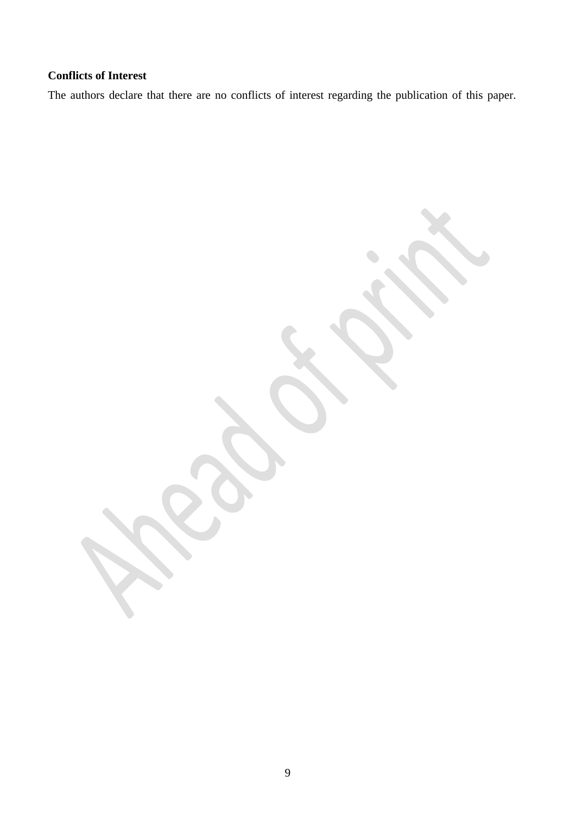# **Conflicts of Interest**

The authors declare that there are no conflicts of interest regarding the publication of this paper.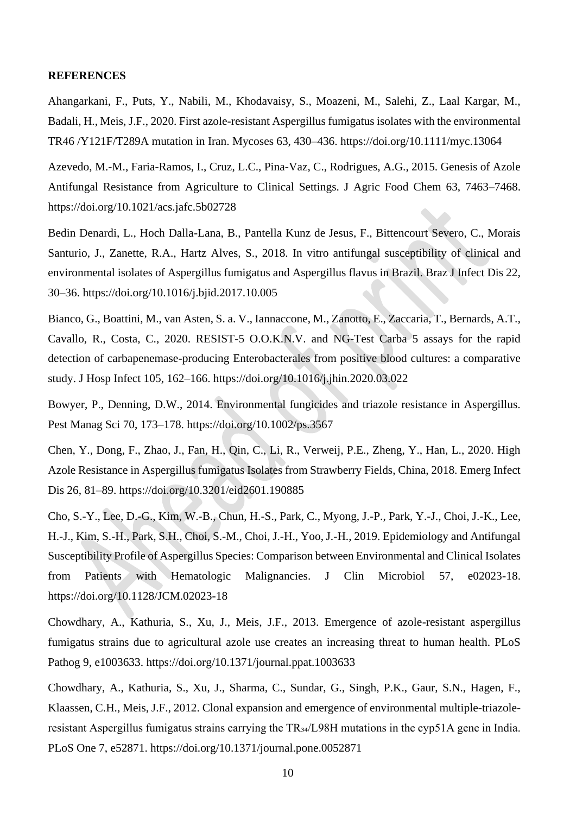### **REFERENCES**

Ahangarkani, F., Puts, Y., Nabili, M., Khodavaisy, S., Moazeni, M., Salehi, Z., Laal Kargar, M., Badali, H., Meis, J.F., 2020. First azole-resistant Aspergillus fumigatus isolates with the environmental TR46 /Y121F/T289A mutation in Iran. Mycoses 63, 430–436. https://doi.org/10.1111/myc.13064

Azevedo, M.-M., Faria-Ramos, I., Cruz, L.C., Pina-Vaz, C., Rodrigues, A.G., 2015. Genesis of Azole Antifungal Resistance from Agriculture to Clinical Settings. J Agric Food Chem 63, 7463–7468. https://doi.org/10.1021/acs.jafc.5b02728

Bedin Denardi, L., Hoch Dalla-Lana, B., Pantella Kunz de Jesus, F., Bittencourt Severo, C., Morais Santurio, J., Zanette, R.A., Hartz Alves, S., 2018. In vitro antifungal susceptibility of clinical and environmental isolates of Aspergillus fumigatus and Aspergillus flavus in Brazil. Braz J Infect Dis 22, 30–36. https://doi.org/10.1016/j.bjid.2017.10.005

Bianco, G., Boattini, M., van Asten, S. a. V., Iannaccone, M., Zanotto, E., Zaccaria, T., Bernards, A.T., Cavallo, R., Costa, C., 2020. RESIST-5 O.O.K.N.V. and NG-Test Carba 5 assays for the rapid detection of carbapenemase-producing Enterobacterales from positive blood cultures: a comparative study. J Hosp Infect 105, 162–166. https://doi.org/10.1016/j.jhin.2020.03.022

Bowyer, P., Denning, D.W., 2014. Environmental fungicides and triazole resistance in Aspergillus. Pest Manag Sci 70, 173–178. https://doi.org/10.1002/ps.3567

Chen, Y., Dong, F., Zhao, J., Fan, H., Qin, C., Li, R., Verweij, P.E., Zheng, Y., Han, L., 2020. High Azole Resistance in Aspergillus fumigatus Isolates from Strawberry Fields, China, 2018. Emerg Infect Dis 26, 81–89. https://doi.org/10.3201/eid2601.190885

Cho, S.-Y., Lee, D.-G., Kim, W.-B., Chun, H.-S., Park, C., Myong, J.-P., Park, Y.-J., Choi, J.-K., Lee, H.-J., Kim, S.-H., Park, S.H., Choi, S.-M., Choi, J.-H., Yoo, J.-H., 2019. Epidemiology and Antifungal Susceptibility Profile of Aspergillus Species: Comparison between Environmental and Clinical Isolates from Patients with Hematologic Malignancies. J Clin Microbiol 57, e02023-18. https://doi.org/10.1128/JCM.02023-18

Chowdhary, A., Kathuria, S., Xu, J., Meis, J.F., 2013. Emergence of azole-resistant aspergillus fumigatus strains due to agricultural azole use creates an increasing threat to human health. PLoS Pathog 9, e1003633. https://doi.org/10.1371/journal.ppat.1003633

Chowdhary, A., Kathuria, S., Xu, J., Sharma, C., Sundar, G., Singh, P.K., Gaur, S.N., Hagen, F., Klaassen, C.H., Meis, J.F., 2012. Clonal expansion and emergence of environmental multiple-triazoleresistant Aspergillus fumigatus strains carrying the TR34/L98H mutations in the cyp51A gene in India. PLoS One 7, e52871. https://doi.org/10.1371/journal.pone.0052871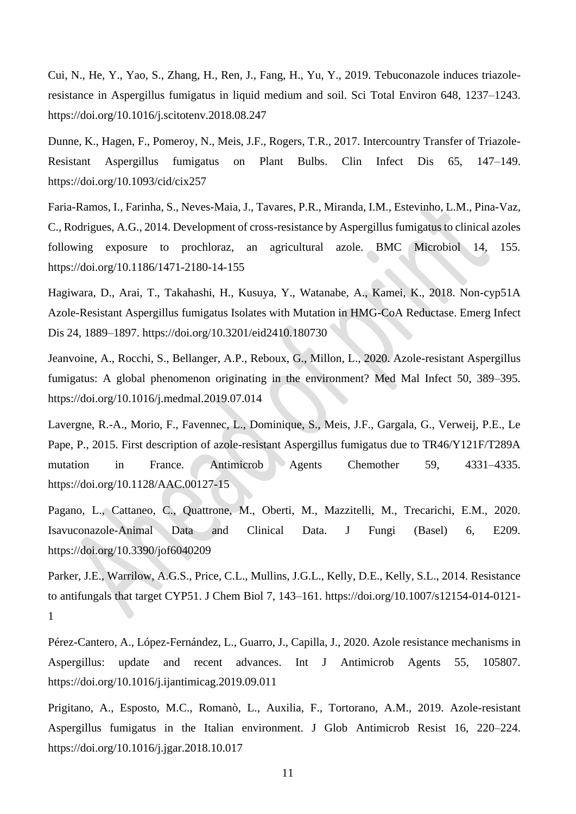Cui, N., He, Y., Yao, S., Zhang, H., Ren, J., Fang, H., Yu, Y., 2019. Tebuconazole induces triazoleresistance in Aspergillus fumigatus in liquid medium and soil. Sci Total Environ 648, 1237–1243. https://doi.org/10.1016/j.scitotenv.2018.08.247

Dunne, K., Hagen, F., Pomeroy, N., Meis, J.F., Rogers, T.R., 2017. Intercountry Transfer of Triazole-Resistant Aspergillus fumigatus on Plant Bulbs. Clin Infect Dis 65, 147–149. https://doi.org/10.1093/cid/cix257

Faria-Ramos, I., Farinha, S., Neves-Maia, J., Tavares, P.R., Miranda, I.M., Estevinho, L.M., Pina-Vaz, C., Rodrigues, A.G., 2014. Development of cross-resistance by Aspergillus fumigatus to clinical azoles following exposure to prochloraz, an agricultural azole. BMC Microbiol 14, 155. https://doi.org/10.1186/1471-2180-14-155

Hagiwara, D., Arai, T., Takahashi, H., Kusuya, Y., Watanabe, A., Kamei, K., 2018. Non-cyp51A Azole-Resistant Aspergillus fumigatus Isolates with Mutation in HMG-CoA Reductase. Emerg Infect Dis 24, 1889–1897. https://doi.org/10.3201/eid2410.180730

Jeanvoine, A., Rocchi, S., Bellanger, A.P., Reboux, G., Millon, L., 2020. Azole-resistant Aspergillus fumigatus: A global phenomenon originating in the environment? Med Mal Infect 50, 389–395. https://doi.org/10.1016/j.medmal.2019.07.014

Lavergne, R.-A., Morio, F., Favennec, L., Dominique, S., Meis, J.F., Gargala, G., Verweij, P.E., Le Pape, P., 2015. First description of azole-resistant Aspergillus fumigatus due to TR46/Y121F/T289A mutation in France. Antimicrob Agents Chemother 59, 4331–4335. https://doi.org/10.1128/AAC.00127-15

Pagano, L., Cattaneo, C., Quattrone, M., Oberti, M., Mazzitelli, M., Trecarichi, E.M., 2020. Isavuconazole-Animal Data and Clinical Data. J Fungi (Basel) 6, E209. https://doi.org/10.3390/jof6040209

Parker, J.E., Warrilow, A.G.S., Price, C.L., Mullins, J.G.L., Kelly, D.E., Kelly, S.L., 2014. Resistance to antifungals that target CYP51. J Chem Biol 7, 143–161. https://doi.org/10.1007/s12154-014-0121- 1

Pérez-Cantero, A., López-Fernández, L., Guarro, J., Capilla, J., 2020. Azole resistance mechanisms in Aspergillus: update and recent advances. Int J Antimicrob Agents 55, 105807. https://doi.org/10.1016/j.ijantimicag.2019.09.011

Prigitano, A., Esposto, M.C., Romanò, L., Auxilia, F., Tortorano, A.M., 2019. Azole-resistant Aspergillus fumigatus in the Italian environment. J Glob Antimicrob Resist 16, 220–224. https://doi.org/10.1016/j.jgar.2018.10.017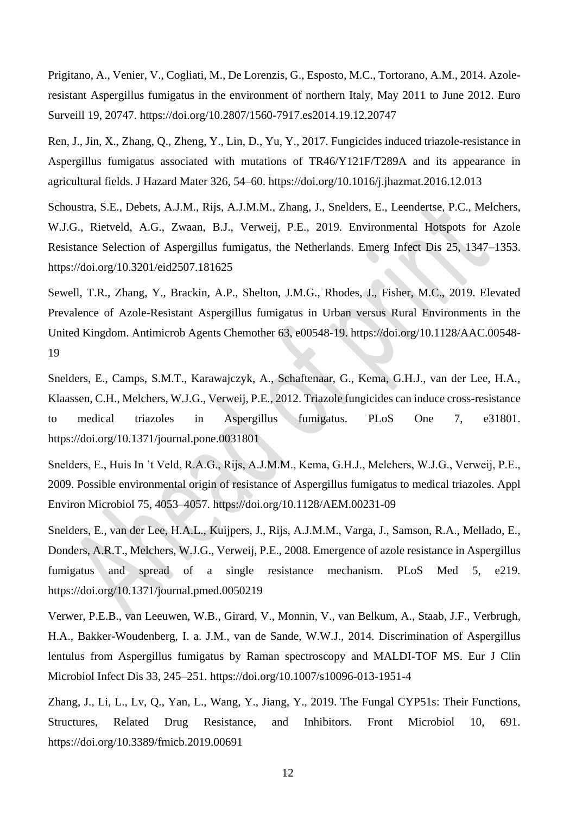Prigitano, A., Venier, V., Cogliati, M., De Lorenzis, G., Esposto, M.C., Tortorano, A.M., 2014. Azoleresistant Aspergillus fumigatus in the environment of northern Italy, May 2011 to June 2012. Euro Surveill 19, 20747. https://doi.org/10.2807/1560-7917.es2014.19.12.20747

Ren, J., Jin, X., Zhang, Q., Zheng, Y., Lin, D., Yu, Y., 2017. Fungicides induced triazole-resistance in Aspergillus fumigatus associated with mutations of TR46/Y121F/T289A and its appearance in agricultural fields. J Hazard Mater 326, 54–60. https://doi.org/10.1016/j.jhazmat.2016.12.013

Schoustra, S.E., Debets, A.J.M., Rijs, A.J.M.M., Zhang, J., Snelders, E., Leendertse, P.C., Melchers, W.J.G., Rietveld, A.G., Zwaan, B.J., Verweij, P.E., 2019. Environmental Hotspots for Azole Resistance Selection of Aspergillus fumigatus, the Netherlands. Emerg Infect Dis 25, 1347–1353. https://doi.org/10.3201/eid2507.181625

Sewell, T.R., Zhang, Y., Brackin, A.P., Shelton, J.M.G., Rhodes, J., Fisher, M.C., 2019. Elevated Prevalence of Azole-Resistant Aspergillus fumigatus in Urban versus Rural Environments in the United Kingdom. Antimicrob Agents Chemother 63, e00548-19. https://doi.org/10.1128/AAC.00548- 19

Snelders, E., Camps, S.M.T., Karawajczyk, A., Schaftenaar, G., Kema, G.H.J., van der Lee, H.A., Klaassen, C.H., Melchers, W.J.G., Verweij, P.E., 2012. Triazole fungicides can induce cross-resistance to medical triazoles in Aspergillus fumigatus. PLoS One 7, e31801. https://doi.org/10.1371/journal.pone.0031801

Snelders, E., Huis In 't Veld, R.A.G., Rijs, A.J.M.M., Kema, G.H.J., Melchers, W.J.G., Verweij, P.E., 2009. Possible environmental origin of resistance of Aspergillus fumigatus to medical triazoles. Appl Environ Microbiol 75, 4053–4057. https://doi.org/10.1128/AEM.00231-09

Snelders, E., van der Lee, H.A.L., Kuijpers, J., Rijs, A.J.M.M., Varga, J., Samson, R.A., Mellado, E., Donders, A.R.T., Melchers, W.J.G., Verweij, P.E., 2008. Emergence of azole resistance in Aspergillus fumigatus and spread of a single resistance mechanism. PLoS Med 5, e219. https://doi.org/10.1371/journal.pmed.0050219

Verwer, P.E.B., van Leeuwen, W.B., Girard, V., Monnin, V., van Belkum, A., Staab, J.F., Verbrugh, H.A., Bakker-Woudenberg, I. a. J.M., van de Sande, W.W.J., 2014. Discrimination of Aspergillus lentulus from Aspergillus fumigatus by Raman spectroscopy and MALDI-TOF MS. Eur J Clin Microbiol Infect Dis 33, 245–251. https://doi.org/10.1007/s10096-013-1951-4

Zhang, J., Li, L., Lv, Q., Yan, L., Wang, Y., Jiang, Y., 2019. The Fungal CYP51s: Their Functions, Structures, Related Drug Resistance, and Inhibitors. Front Microbiol 10, 691. https://doi.org/10.3389/fmicb.2019.00691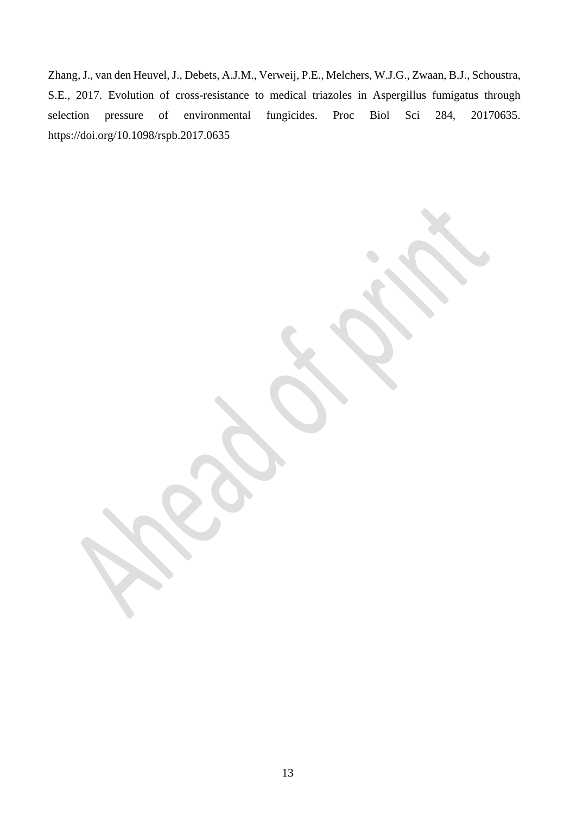Zhang, J., van den Heuvel, J., Debets, A.J.M., Verweij, P.E., Melchers, W.J.G., Zwaan, B.J., Schoustra, S.E., 2017. Evolution of cross-resistance to medical triazoles in Aspergillus fumigatus through selection pressure of environmental fungicides. Proc Biol Sci 284, 20170635. https://doi.org/10.1098/rspb.2017.0635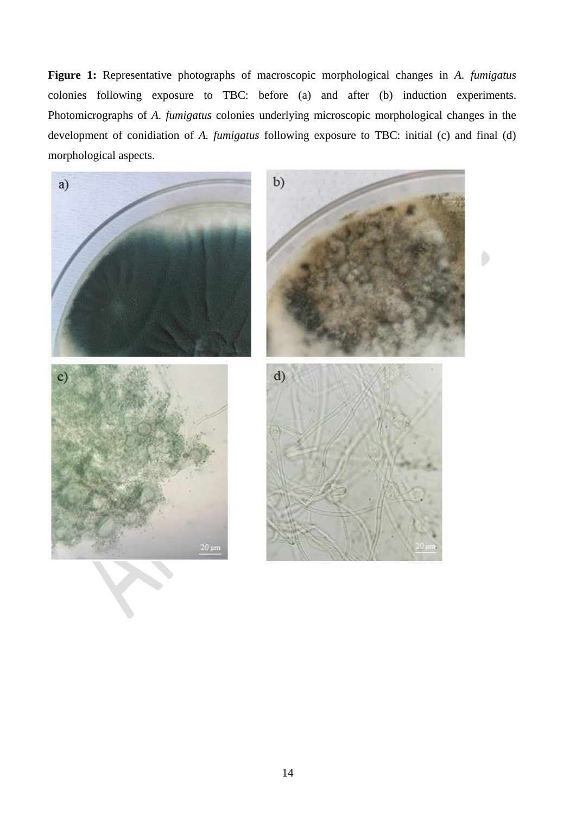**Figure 1:** Representative photographs of macroscopic morphological changes in *A. fumigatus* colonies following exposure to TBC: before (a) and after (b) induction experiments. Photomicrographs of *A. fumigatus* colonies underlying microscopic morphological changes in the development of conidiation of *A. fumigatus* following exposure to TBC: initial (c) and final (d) morphological aspects.